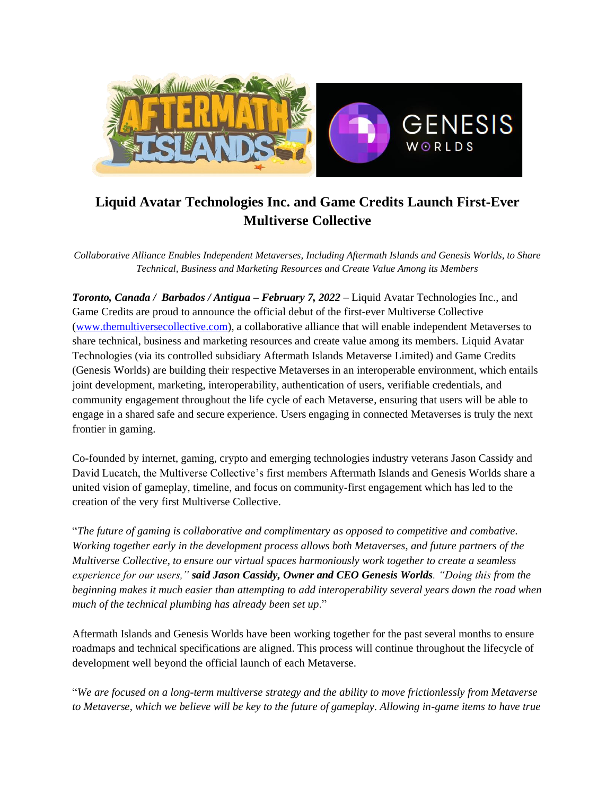

# **Liquid Avatar Technologies Inc. and Game Credits Launch First-Ever Multiverse Collective**

*Collaborative Alliance Enables Independent Metaverses, Including Aftermath Islands and Genesis Worlds, to Share Technical, Business and Marketing Resources and Create Value Among its Members*

*Toronto, Canada / Barbados / Antigua – February 7, 2022 –* Liquid Avatar Technologies Inc., and Game Credits are proud to announce the official debut of the first-ever Multiverse Collective [\(www.themultiversecollective.com\)](https://themultiversecollective.com/), a collaborative alliance that will enable independent Metaverses to share technical, business and marketing resources and create value among its members. Liquid Avatar Technologies (via its controlled subsidiary Aftermath Islands Metaverse Limited) and Game Credits (Genesis Worlds) are building their respective Metaverses in an interoperable environment, which entails joint development, marketing, interoperability, authentication of users, verifiable credentials, and community engagement throughout the life cycle of each Metaverse, ensuring that users will be able to engage in a shared safe and secure experience. Users engaging in connected Metaverses is truly the next frontier in gaming.

Co-founded by internet, gaming, crypto and emerging technologies industry veterans Jason Cassidy and David Lucatch, the Multiverse Collective's first members Aftermath Islands and Genesis Worlds share a united vision of gameplay, timeline, and focus on community-first engagement which has led to the creation of the very first Multiverse Collective.

"*The future of gaming is collaborative and complimentary as opposed to competitive and combative. Working together early in the development process allows both Metaverses, and future partners of the Multiverse Collective, to ensure our virtual spaces harmoniously work together to create a seamless experience for our users," said Jason Cassidy, Owner and CEO Genesis Worlds. "Doing this from the beginning makes it much easier than attempting to add interoperability several years down the road when much of the technical plumbing has already been set up*."

Aftermath Islands and Genesis Worlds have been working together for the past several months to ensure roadmaps and technical specifications are aligned. This process will continue throughout the lifecycle of development well beyond the official launch of each Metaverse.

"*We are focused on a long-term multiverse strategy and the ability to move frictionlessly from Metaverse to Metaverse, which we believe will be key to the future of gameplay. Allowing in-game items to have true*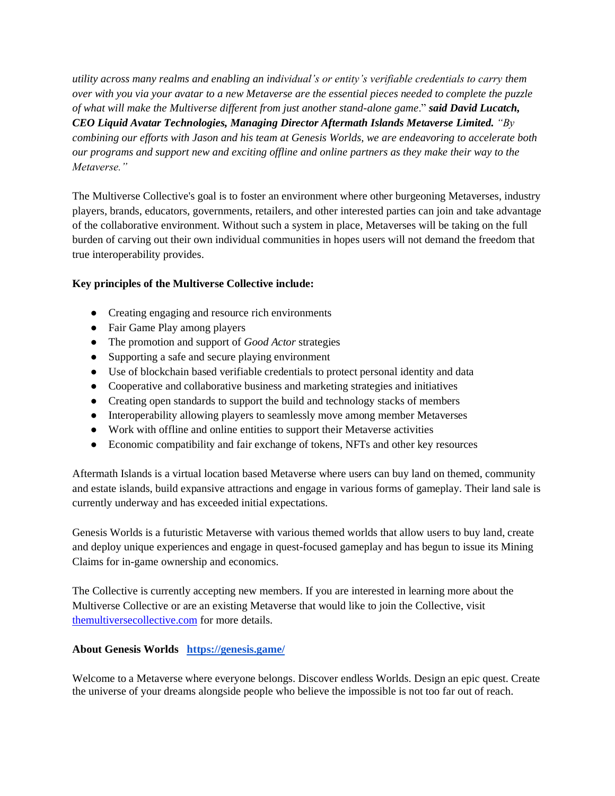*utility across many realms and enabling an individual's or entity's verifiable credentials to carry them over with you via your avatar to a new Metaverse are the essential pieces needed to complete the puzzle of what will make the Multiverse different from just another stand-alone game*." *said David Lucatch, CEO Liquid Avatar Technologies, Managing Director Aftermath Islands Metaverse Limited. "By combining our efforts with Jason and his team at Genesis Worlds, we are endeavoring to accelerate both our programs and support new and exciting offline and online partners as they make their way to the Metaverse."*

The Multiverse Collective's goal is to foster an environment where other burgeoning Metaverses, industry players, brands, educators, governments, retailers, and other interested parties can join and take advantage of the collaborative environment. Without such a system in place, Metaverses will be taking on the full burden of carving out their own individual communities in hopes users will not demand the freedom that true interoperability provides.

# **Key principles of the Multiverse Collective include:**

- Creating engaging and resource rich environments
- Fair Game Play among players
- The promotion and support of *Good Actor* strategies
- Supporting a safe and secure playing environment
- Use of blockchain based verifiable credentials to protect personal identity and data
- Cooperative and collaborative business and marketing strategies and initiatives
- Creating open standards to support the build and technology stacks of members
- Interoperability allowing players to seamlessly move among member Metaverses
- Work with offline and online entities to support their Metaverse activities
- Economic compatibility and fair exchange of tokens, NFTs and other key resources

Aftermath Islands is a virtual location based Metaverse where users can buy land on themed, community and estate islands, build expansive attractions and engage in various forms of gameplay. Their land sale is currently underway and has exceeded initial expectations.

Genesis Worlds is a futuristic Metaverse with various themed worlds that allow users to buy land, create and deploy unique experiences and engage in quest-focused gameplay and has begun to issue its Mining Claims for in-game ownership and economics.

The Collective is currently accepting new members. If you are interested in learning more about the Multiverse Collective or are an existing Metaverse that would like to join the Collective, visit [themultiversecollective.com](https://themultiversecollective.com/) for more details.

# **About Genesis Worlds <https://genesis.game/>**

Welcome to a Metaverse where everyone belongs. Discover endless Worlds. Design an epic quest. Create the universe of your dreams alongside people who believe the impossible is not too far out of reach.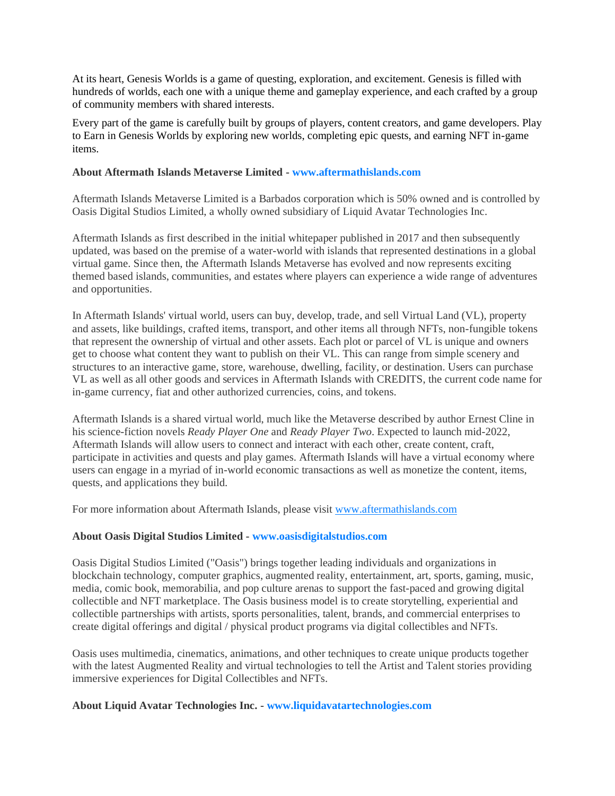At its heart, Genesis Worlds is a game of questing, exploration, and excitement. Genesis is filled with hundreds of worlds, each one with a unique theme and gameplay experience, and each crafted by a group of community members with shared interests.

Every part of the game is carefully built by groups of players, content creators, and game developers. Play to Earn in Genesis Worlds by exploring new worlds, completing epic quests, and earning NFT in-game items.

#### **About Aftermath Islands Metaverse Limited - [www.aftermathislands.com](https://aftermathislands.com/)**

Aftermath Islands Metaverse Limited is a Barbados corporation which is 50% owned and is controlled by Oasis Digital Studios Limited, a wholly owned subsidiary of Liquid Avatar Technologies Inc.

Aftermath Islands as first described in the initial whitepaper published in 2017 and then subsequently updated, was based on the premise of a water-world with islands that represented destinations in a global virtual game. Since then, the Aftermath Islands Metaverse has evolved and now represents exciting themed based islands, communities, and estates where players can experience a wide range of adventures and opportunities.

In Aftermath Islands' virtual world, users can buy, develop, trade, and sell Virtual Land (VL), property and assets, like buildings, crafted items, transport, and other items all through NFTs, non-fungible tokens that represent the ownership of virtual and other assets. Each plot or parcel of VL is unique and owners get to choose what content they want to publish on their VL. This can range from simple scenery and structures to an interactive game, store, warehouse, dwelling, facility, or destination. Users can purchase VL as well as all other goods and services in Aftermath Islands with CREDITS, the current code name for in-game currency, fiat and other authorized currencies, coins, and tokens.

Aftermath Islands is a shared virtual world, much like the Metaverse described by author Ernest Cline in his science-fiction novels *Ready Player One* and *Ready Player Two*. Expected to launch mid-2022, Aftermath Islands will allow users to connect and interact with each other, create content, craft, participate in activities and quests and play games. Aftermath Islands will have a virtual economy where users can engage in a myriad of in-world economic transactions as well as monetize the content, items, quests, and applications they build.

For more information about Aftermath Islands, please visit [www.aftermathislands.com](https://aftermathislands.com/)

## **About Oasis Digital Studios Limited - [www.oasisdigitalstudios.com](https://oasisdigitalstudios.com/)**

Oasis Digital Studios Limited ("Oasis") brings together leading individuals and organizations in blockchain technology, computer graphics, augmented reality, entertainment, art, sports, gaming, music, media, comic book, memorabilia, and pop culture arenas to support the fast-paced and growing digital collectible and NFT marketplace. The Oasis business model is to create storytelling, experiential and collectible partnerships with artists, sports personalities, talent, brands, and commercial enterprises to create digital offerings and digital / physical product programs via digital collectibles and NFTs.

Oasis uses multimedia, cinematics, animations, and other techniques to create unique products together with the latest Augmented Reality and virtual technologies to tell the Artist and Talent stories providing immersive experiences for Digital Collectibles and NFTs.

#### **About Liquid Avatar Technologies Inc. - [www.liquidavatartechnologies.com](http://www.liquidavatartechnologies.com/)**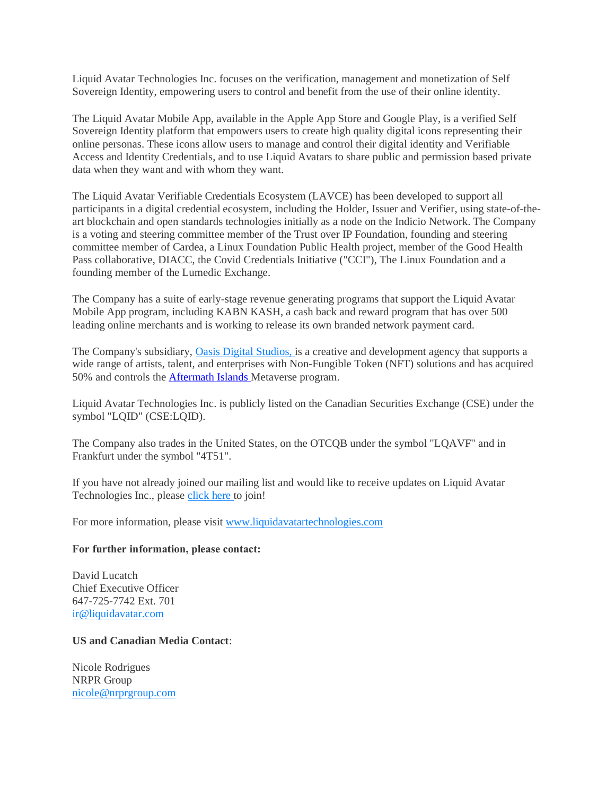Liquid Avatar Technologies Inc. focuses on the verification, management and monetization of Self Sovereign Identity, empowering users to control and benefit from the use of their online identity.

The Liquid Avatar Mobile App, available in the Apple App Store and Google Play, is a verified Self Sovereign Identity platform that empowers users to create high quality digital icons representing their online personas. These icons allow users to manage and control their digital identity and Verifiable Access and Identity Credentials, and to use Liquid Avatars to share public and permission based private data when they want and with whom they want.

The Liquid Avatar Verifiable Credentials Ecosystem (LAVCE) has been developed to support all participants in a digital credential ecosystem, including the Holder, Issuer and Verifier, using state-of-theart blockchain and open standards technologies initially as a node on the Indicio Network. The Company is a voting and steering committee member of the Trust over IP Foundation, founding and steering committee member of Cardea, a Linux Foundation Public Health project, member of the Good Health Pass collaborative, DIACC, the Covid Credentials Initiative ("CCI"), The Linux Foundation and a founding member of the Lumedic Exchange.

The Company has a suite of early-stage revenue generating programs that support the Liquid Avatar Mobile App program, including KABN KASH, a cash back and reward program that has over 500 leading online merchants and is working to release its own branded network payment card.

The Company's subsidiary, [Oasis Digital Studios,](https://oasisdigitalstudios.com/) is a creative and development agency that supports a wide range of artists, talent, and enterprises with Non-Fungible Token (NFT) solutions and has acquired 50% and controls the [Aftermath Islands](https://aftermathislands.com/) Metaverse program.

Liquid Avatar Technologies Inc. is publicly listed on the Canadian Securities Exchange (CSE) under the symbol "LQID" (CSE:LQID).

The Company also trades in the United States, on the OTCQB under the symbol "LQAVF" and in Frankfurt under the symbol "4T51".

If you have not already joined our mailing list and would like to receive updates on Liquid Avatar Technologies Inc., please [click here](https://hello.liquidavatar.com/liquid-avatar-updates) to join!

For more information, please visit [www.liquidavatartechnologies.com](http://www.liquidavatartechnologies.com/)

#### **For further information, please contact:**

David Lucatch Chief Executive Officer 647-725-7742 Ext. 701 [ir@liquidavatar.com](mailto:ir@liquidavatar.com)

**US and Canadian Media Contact**:

Nicole Rodrigues NRPR Group [nicole@nrprgroup.com](mailto:nicole@nrprgroup.com)